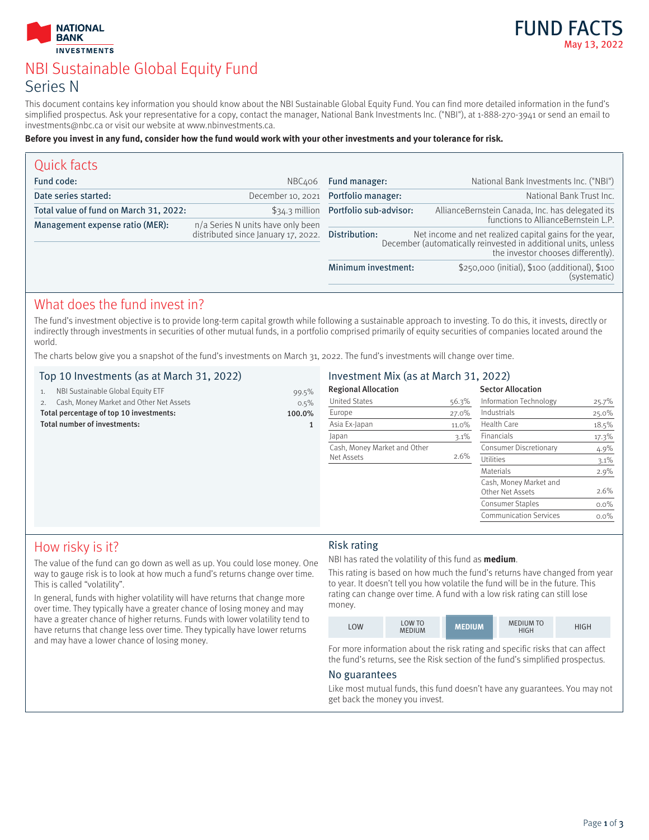



# NBI Sustainable Global Equity Fund Series N

This document contains key information you should know about the NBI Sustainable Global Equity Fund. You can find more detailed information in the fund's simplified prospectus. Ask your representative for a copy, contact the manager, National Bank Investments Inc. ("NBI"), at 1-888-270-3941 or send an email to investments@nbc.ca or visit our website at www.nbinvestments.ca.

#### **Before you invest in any fund, consider how the fund would work with your other investments and your tolerance for risk.**

| Quick facts                            |                                                   |                                                                                                                                                                 |                                                                |
|----------------------------------------|---------------------------------------------------|-----------------------------------------------------------------------------------------------------------------------------------------------------------------|----------------------------------------------------------------|
| Fund code:                             | NBC406                                            | Fund manager:                                                                                                                                                   | National Bank Investments Inc. ("NBI")                         |
| Date series started:                   |                                                   | December 10, 2021 Portfolio manager:                                                                                                                            | National Bank Trust Inc.                                       |
| Total value of fund on March 31, 2022: |                                                   | \$34.3 million Portfolio sub-advisor:                                                                                                                           | AllianceBernstein Canada, Inc. has delegated its               |
| Management expense ratio (MER):        | n/a Series N units have only been                 |                                                                                                                                                                 | functions to AllianceBernstein L.P.                            |
|                                        | distributed since January 17, 2022. Distribution: | Net income and net realized capital gains for the year,<br>December (automatically reinvested in additional units, unless<br>the investor chooses differently). |                                                                |
|                                        |                                                   | Minimum investment:                                                                                                                                             | \$250,000 (initial), \$100 (additional), \$100<br>(systematic) |

# What does the fund invest in?

The fund's investment objective is to provide long-term capital growth while following a sustainable approach to investing. To do this, it invests, directly or indirectly through investments in securities of other mutual funds, in a portfolio comprised primarily of equity securities of companies located around the world.

The charts below give you a snapshot of the fund's investments on March 31, 2022. The fund's investments will change over time.

## Top 10 Investments (as at March 31, 2022)

| 1.                                      | NBI Sustainable Global Equity ETF       | 99.5%  |
|-----------------------------------------|-----------------------------------------|--------|
|                                         | Cash, Money Market and Other Net Assets | 0.5%   |
| Total percentage of top 10 investments: |                                         | 100.0% |
| Total number of investments:            |                                         |        |
|                                         |                                         |        |

## Investment Mix (as at March 31, 2022)

| <b>Regional Allocation</b>   |         | <b>Sector Allocation</b>                   |         |
|------------------------------|---------|--------------------------------------------|---------|
| <b>United States</b>         | 56.3%   | Information Technology                     | 25.7%   |
| Europe                       | 27.0%   | Industrials                                | 25.0%   |
| Asia Ex-Japan                | 11.0%   | Health Care                                | 18.5%   |
| Japan                        | $3.1\%$ | Financials                                 | 17.3%   |
| Cash, Money Market and Other |         | Consumer Discretionary                     | 4.9%    |
| Net Assets                   | 2.6%    | Utilities                                  | 3.1%    |
|                              |         | Materials                                  | 2.9%    |
|                              |         | Cash, Money Market and<br>Other Net Assets | 2.6%    |
|                              |         | Consumer Staples                           | $0.0\%$ |
|                              |         | <b>Communication Services</b>              | $0.0\%$ |
|                              |         |                                            |         |

# How risky is it?

The value of the fund can go down as well as up. You could lose money. One way to gauge risk is to look at how much a fund's returns change over time. This is called "volatility".

In general, funds with higher volatility will have returns that change more over time. They typically have a greater chance of losing money and may have a greater chance of higher returns. Funds with lower volatility tend to have returns that change less over time. They typically have lower returns and may have a lower chance of losing money.

## Risk rating

NBI has rated the volatility of this fund as **medium**.

This rating is based on how much the fund's returns have changed from year to year. It doesn't tell you how volatile the fund will be in the future. This rating can change over time. A fund with a low risk rating can still lose money.

| <b>LOW</b> | <b>LOW TO</b><br><b>MEDIUM</b> | <b>MEDIUM</b> | <b>MEDIUM TO</b><br><b>HIGH</b> | HIGH |
|------------|--------------------------------|---------------|---------------------------------|------|
|------------|--------------------------------|---------------|---------------------------------|------|

For more information about the risk rating and specific risks that can affect the fund's returns, see the Risk section of the fund's simplified prospectus.

### No guarantees

Like most mutual funds, this fund doesn't have any guarantees. You may not get back the money you invest.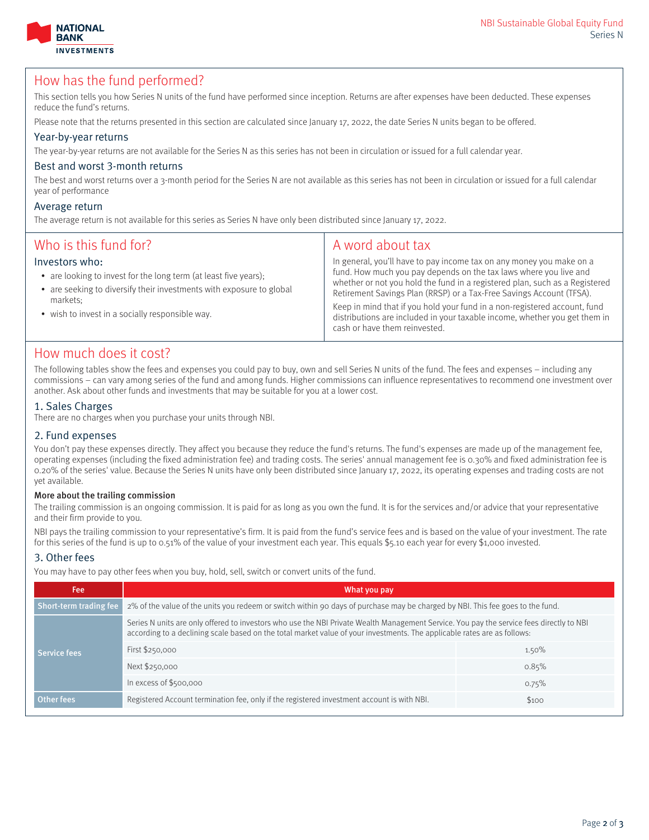



## How has the fund performed?

This section tells you how Series N units of the fund have performed since inception. Returns are after expenses have been deducted. These expenses reduce the fund's returns.

Please note that the returns presented in this section are calculated since January 17, 2022, the date Series N units began to be offered.

#### Year-by-year returns

The year-by-year returns are not available for the Series N as this series has not been in circulation or issued for a full calendar year.

### Best and worst 3-month returns

The best and worst returns over a 3-month period for the Series N are not available as this series has not been in circulation or issued for a full calendar year of performance

#### Average return

The average return is not available for this series as Series N have only been distributed since January 17, 2022.

| Who is this fund for?<br>Investors who:<br>• are looking to invest for the long term (at least five years);<br>• are seeking to diversify their investments with exposure to global<br>markets:<br>• wish to invest in a socially responsible way. | A word about tax<br>In general, you'll have to pay income tax on any money you make on a<br>fund. How much you pay depends on the tax laws where you live and<br>whether or not you hold the fund in a registered plan, such as a Registered<br>Retirement Savings Plan (RRSP) or a Tax-Free Savings Account (TFSA).<br>Keep in mind that if you hold your fund in a non-registered account, fund<br>distributions are included in your taxable income, whether you get them in<br>cash or have them reinvested. |
|----------------------------------------------------------------------------------------------------------------------------------------------------------------------------------------------------------------------------------------------------|------------------------------------------------------------------------------------------------------------------------------------------------------------------------------------------------------------------------------------------------------------------------------------------------------------------------------------------------------------------------------------------------------------------------------------------------------------------------------------------------------------------|
|                                                                                                                                                                                                                                                    |                                                                                                                                                                                                                                                                                                                                                                                                                                                                                                                  |

## How much does it cost?

The following tables show the fees and expenses you could pay to buy, own and sell Series N units of the fund. The fees and expenses – including any commissions – can vary among series of the fund and among funds. Higher commissions can influence representatives to recommend one investment over another. Ask about other funds and investments that may be suitable for you at a lower cost.

### 1. Sales Charges

There are no charges when you purchase your units through NBI.

### 2. Fund expenses

You don't pay these expenses directly. They affect you because they reduce the fund's returns. The fund's expenses are made up of the management fee, operating expenses (including the fixed administration fee) and trading costs. The series' annual management fee is 0.30% and fixed administration fee is 0.20% of the series' value. Because the Series N units have only been distributed since January 17, 2022, its operating expenses and trading costs are not yet available.

#### More about the trailing commission

The trailing commission is an ongoing commission. It is paid for as long as you own the fund. It is for the services and/or advice that your representative and their firm provide to you.

NBI pays the trailing commission to your representative's firm. It is paid from the fund's service fees and is based on the value of your investment. The rate for this series of the fund is up to 0.51% of the value of your investment each year. This equals \$5.10 each year for every \$1,000 invested.

#### 3. Other fees

You may have to pay other fees when you buy, hold, sell, switch or convert units of the fund.

| Fee:                                                                                                                                                                                                                                                                 | What you pay                                                                                                                   |       |  |
|----------------------------------------------------------------------------------------------------------------------------------------------------------------------------------------------------------------------------------------------------------------------|--------------------------------------------------------------------------------------------------------------------------------|-------|--|
| Short-term trading fee                                                                                                                                                                                                                                               | 2% of the value of the units you redeem or switch within 90 days of purchase may be charged by NBI. This fee goes to the fund. |       |  |
| Series N units are only offered to investors who use the NBI Private Wealth Management Service. You pay the service fees directly to NBI<br>according to a declining scale based on the total market value of your investments. The applicable rates are as follows: |                                                                                                                                |       |  |
| Service fees                                                                                                                                                                                                                                                         | First \$250,000                                                                                                                | 1.50% |  |
|                                                                                                                                                                                                                                                                      | Next \$250,000                                                                                                                 | 0.85% |  |
|                                                                                                                                                                                                                                                                      | In excess of \$500,000                                                                                                         | 0.75% |  |
| <b>Other fees</b>                                                                                                                                                                                                                                                    | Registered Account termination fee, only if the registered investment account is with NBI.                                     | \$100 |  |